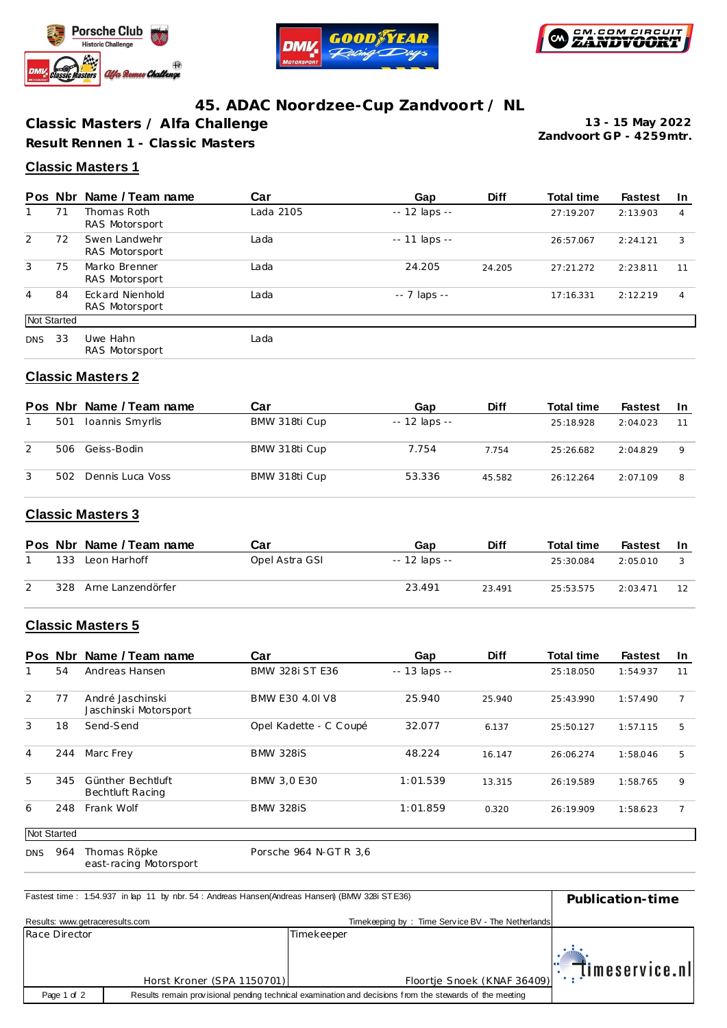





# **45. ADAC Noordzee-Cup Zandvoort / NL**

**Classic Masters / Alfa Challenge Result Rennen 1 - Classic Masters**

**Zandvoort GP - 4259mtr. 13 - 15 May 2022**

#### **Classic Masters 1**

|            |             | Pos Nbr Name / Team name          | Car       | Gap                 | <b>Diff</b> | <b>Total time</b> | <b>Fastest</b> | <b>In</b> |
|------------|-------------|-----------------------------------|-----------|---------------------|-------------|-------------------|----------------|-----------|
|            | 71          | Thomas Roth<br>RAS Motorsport     | Lada 2105 | $- - 12$ laps $- -$ |             | 27:19.207         | 2:13.903       | 4         |
| 2          | 72          | Swen Landwehr<br>RAS Motorsport   | Lada      | $-11$ laps $-$      |             | 26:57.067         | 2:24.121       | 3         |
| 3          | 75          | Marko Brenner<br>RAS Motorsport   | Lada      | 24.205              | 24.205      | 27:21.272         | 2:23.811       | 11        |
| 4          | 84          | Eckard Nienhold<br>RAS Motorsport | Lada      | -- 7 laps --        |             | 17:16.331         | 2:12.219       | 4         |
|            | Not Started |                                   |           |                     |             |                   |                |           |
| <b>DNS</b> | 33          | Uwe Hahn<br>RAS Motorsport        | Lada      |                     |             |                   |                |           |

#### **Classic Masters 2**

|     | Pos Nbr Name / Team name | Car           | Gap            | <b>Diff</b> | <b>Total time</b> | <b>Fastest</b> | -In         |
|-----|--------------------------|---------------|----------------|-------------|-------------------|----------------|-------------|
| 501 | Ioannis Smyrlis          | BMW 318ti Cup | $-12$ laps $-$ |             | 25:18.928         | 2:04.023       | 11          |
| 506 | Geiss-Bodin              | BMW 318ti Cup | 7.754          | 7.754       | 25:26.682         | 2:04.829       | $\mathsf Q$ |
| 502 | Dennis Luca Voss         | BMW 318ti Cup | 53.336         | 45.582      | 26:12.264         | 2:07.109       | 8           |

#### **Classic Masters 3**

|     | Pos Nbr Name / Team name | Car            | Gap           | <b>Diff</b> | <b>Total time</b> | Fastest  | -In |
|-----|--------------------------|----------------|---------------|-------------|-------------------|----------|-----|
| 133 | Leon Harhoff             | Opel Astra GSI | -- 12 laps -- |             | 25:30.084         | 2:05.010 |     |
| 328 | Arne Lanzendörfer        |                | 23.491        | 23.491      | 25:53.575         | 2:03.471 | 12  |

### **Classic Masters 5**

|                |             | Pos Nbr Name / Team name                     | Car                    | Gap           | <b>Diff</b> | <b>Total time</b> | <b>Fastest</b> | -In |
|----------------|-------------|----------------------------------------------|------------------------|---------------|-------------|-------------------|----------------|-----|
|                | 54          | Andreas Hansen                               | <b>BMW 328i ST E36</b> | -- 13 laps -- |             | 25:18.050         | 1:54.937       | 11  |
| 2              | 77          | André Jaschinski<br>Jaschinski Motorsport    | BMW E30 4.0 V8         | 25.940        | 25.940      | 25:43.990         | 1:57.490       | 7   |
| 3              | 18          | Send-Send                                    | Opel Kadette - C Coupé | 32.077        | 6.137       | 25:50.127         | 1:57.115       | 5   |
| $\overline{4}$ | 244         | Marc Frey                                    | <b>BMW 328iS</b>       | 48.224        | 16.147      | 26:06.274         | 1:58.046       | 5   |
| 5              | 345         | Günther Bechtluft<br><b>Bechtluft Racing</b> | BMW 3.0 E30            | 1:01.539      | 13.315      | 26:19.589         | 1:58.765       | 9   |
| 6              | 248         | Frank Wolf                                   | <b>BMW 328iS</b>       | 1:01.859      | 0.320       | 26:19.909         | 1:58.623       | 7   |
|                | Not Started |                                              |                        |               |             |                   |                |     |
| <b>DNS</b>     | 964         | Thomas Röpke                                 | Porsche 964 N-GT R 3.6 |               |             |                   |                |     |

east-racing Motorsport

| Fastest time: 1:54.937 in lap 11 by nbr. 54: Andreas Hansen(Andreas Hansen) (BMW 328i STE36) | Publication-time           |                                                                                                         |                           |
|----------------------------------------------------------------------------------------------|----------------------------|---------------------------------------------------------------------------------------------------------|---------------------------|
| Results: www.getraceresults.com                                                              |                            | Timekeeping by: Time Service BV - The Netherlands                                                       |                           |
| Race Director                                                                                |                            | Timekeeper                                                                                              |                           |
|                                                                                              |                            |                                                                                                         |                           |
|                                                                                              | Horst Kroner (SPA 1150701) | Floortje Snoek (KNAF 36409)                                                                             | $\ \cdot\ $ imeservice.nl |
| Page 1 of 2                                                                                  |                            | Results remain provisional pending technical examination and decisions from the stewards of the meeting |                           |